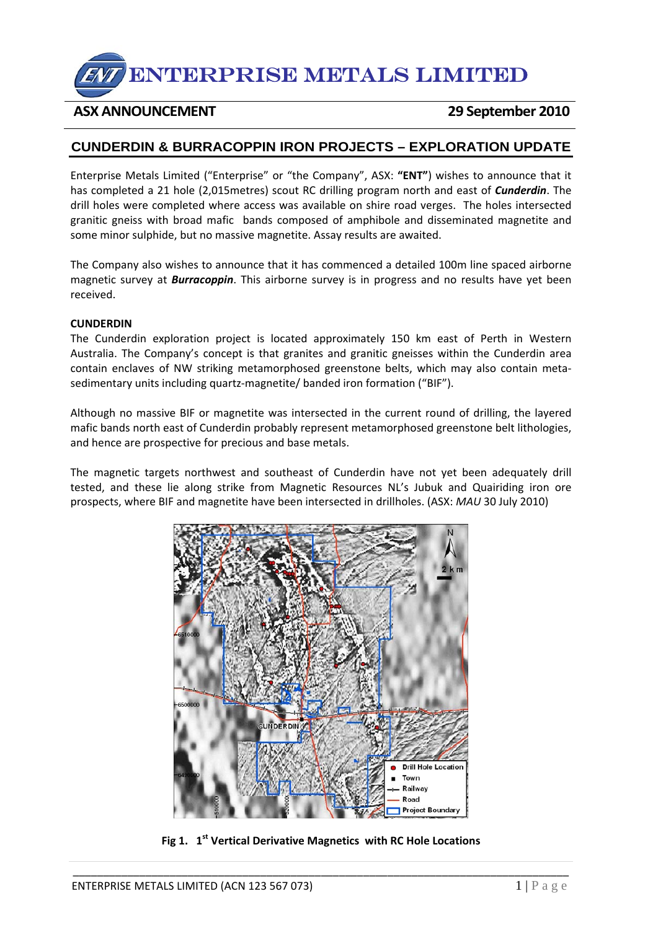# ENTERPRISE METALS LIMITED

### **ASX ANNOUNCEMENT 29 September 2010**

## **CUNDERDIN & BURRACOPPIN IRON PROJECTS – EXPLORATION UPDATE**

Enterprise Metals Limited ("Enterprise" or "the Company", ASX: **"ENT"**) wishes to announce that it has completed a 21 hole (2,015metres) scout RC drilling program north and east of *Cunderdin*. The drill holes were completed where access was available on shire road verges. The holes intersected granitic gneiss with broad mafic bands composed of amphibole and disseminated magnetite and some minor sulphide, but no massive magnetite. Assay results are awaited.

The Company also wishes to announce that it has commenced a detailed 100m line spaced airborne magnetic survey at *Burracoppin*. This airborne survey is in progress and no results have yet been received.

#### **CUNDERDIN**

The Cunderdin exploration project is located approximately 150 km east of Perth in Western Australia. The Company's concept is that granites and granitic gneisses within the Cunderdin area contain enclaves of NW striking metamorphosed greenstone belts, which may also contain meta‐ sedimentary units including quartz-magnetite/ banded iron formation ("BIF").

Although no massive BIF or magnetite was intersected in the current round of drilling, the layered mafic bands north east of Cunderdin probably represent metamorphosed greenstone belt lithologies, and hence are prospective for precious and base metals.

The magnetic targets northwest and southeast of Cunderdin have not yet been adequately drill tested, and these lie along strike from Magnetic Resources NL's Jubuk and Quairiding iron ore prospects, where BIF and magnetite have been intersected in drillholes. (ASX: *MAU* 30 July 2010)



**Fig 1. 1st Vertical Derivative Magnetics with RC Hole Locations**

\_\_\_\_\_\_\_\_\_\_\_\_\_\_\_\_\_\_\_\_\_\_\_\_\_\_\_\_\_\_\_\_\_\_\_\_\_\_\_\_\_\_\_\_\_\_\_\_\_\_\_\_\_\_\_\_\_\_\_\_\_\_\_\_\_\_\_\_\_\_\_\_\_\_\_\_\_\_\_\_\_\_